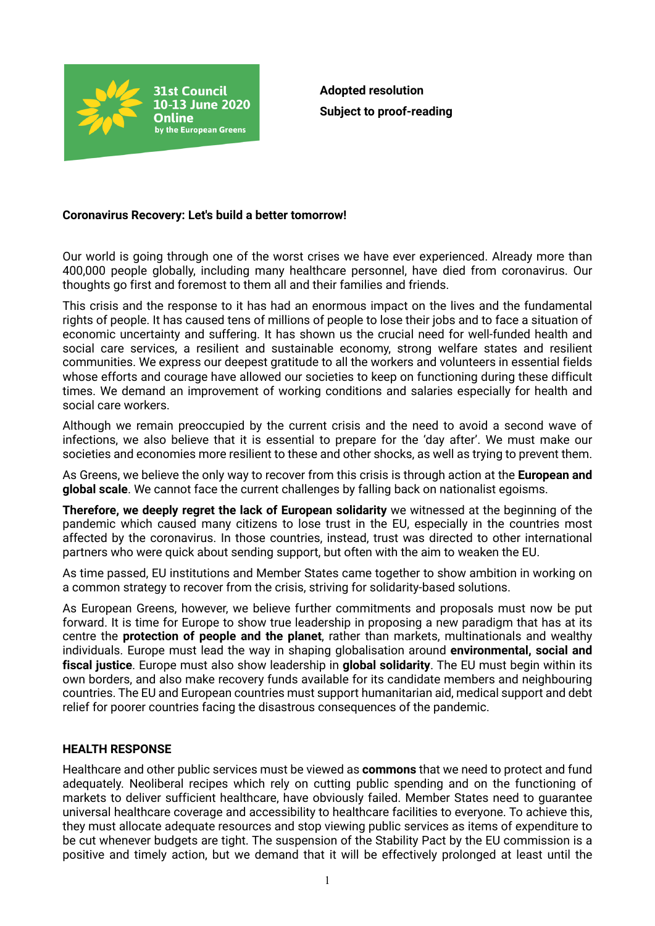

**Adopted resolution Subject to proof-reading**

## **Coronavirus Recovery: Let's build a better tomorrow!**

Our world is going through one of the worst crises we have ever experienced. Already more than 400,000 people globally, including many healthcare personnel, have died from coronavirus. Our thoughts go first and foremost to them all and their families and friends.

This crisis and the response to it has had an enormous impact on the lives and the fundamental rights of people. It has caused tens of millions of people to lose their jobs and to face a situation of economic uncertainty and suffering. It has shown us the crucial need for well-funded health and social care services, a resilient and sustainable economy, strong welfare states and resilient communities. We express our deepest gratitude to all the workers and volunteers in essential fields whose efforts and courage have allowed our societies to keep on functioning during these difficult times. We demand an improvement of working conditions and salaries especially for health and social care workers.

Although we remain preoccupied by the current crisis and the need to avoid a second wave of infections, we also believe that it is essential to prepare for the 'day after'. We must make our societies and economies more resilient to these and other shocks, as well as trying to prevent them.

As Greens, we believe the only way to recover from this crisis is through action at the **European and global scale**. We cannot face the current challenges by falling back on nationalist egoisms.

**Therefore, we deeply regret the lack of European solidarity** we witnessed at the beginning of the pandemic which caused many citizens to lose trust in the EU, especially in the countries most affected by the coronavirus. In those countries, instead, trust was directed to other international partners who were quick about sending support, but often with the aim to weaken the EU.

As time passed, EU institutions and Member States came together to show ambition in working on a common strategy to recover from the crisis, striving for solidarity-based solutions.

As European Greens, however, we believe further commitments and proposals must now be put forward. It is time for Europe to show true leadership in proposing a new paradigm that has at its centre the **protection of people and the planet**, rather than markets, multinationals and wealthy individuals. Europe must lead the way in shaping globalisation around **environmental, social and fiscal justice**. Europe must also show leadership in **global solidarity**. The EU must begin within its own borders, and also make recovery funds available for its candidate members and neighbouring countries. The EU and European countries must support humanitarian aid, medical support and debt relief for poorer countries facing the disastrous consequences of the pandemic.

## **HEALTH RESPONSE**

Healthcare and other public services must be viewed as **commons** that we need to protect and fund adequately. Neoliberal recipes which rely on cutting public spending and on the functioning of markets to deliver sufficient healthcare, have obviously failed. Member States need to guarantee universal healthcare coverage and accessibility to healthcare facilities to everyone. To achieve this, they must allocate adequate resources and stop viewing public services as items of expenditure to be cut whenever budgets are tight. The suspension of the Stability Pact by the EU commission is a positive and timely action, but we demand that it will be effectively prolonged at least until the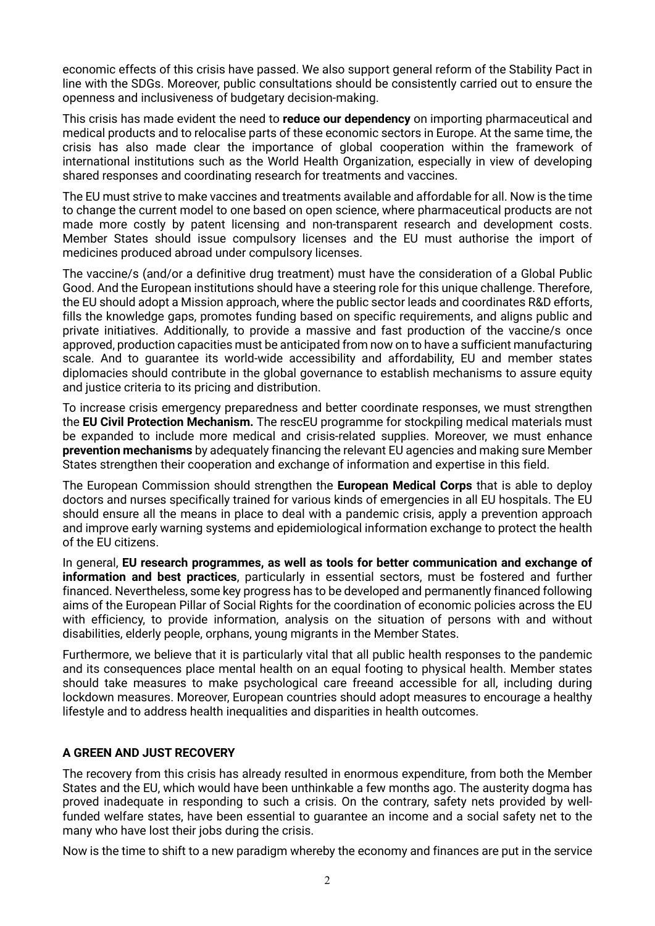economic effects of this crisis have passed. We also support general reform of the Stability Pact in line with the SDGs. Moreover, public consultations should be consistently carried out to ensure the openness and inclusiveness of budgetary decision-making.

This crisis has made evident the need to **reduce our dependency** on importing pharmaceutical and medical products and to relocalise parts of these economic sectors in Europe. At the same time, the crisis has also made clear the importance of global cooperation within the framework of international institutions such as the World Health Organization, especially in view of developing shared responses and coordinating research for treatments and vaccines.

The EU must strive to make vaccines and treatments available and affordable for all. Now is the time to change the current model to one based on open science, where pharmaceutical products are not made more costly by patent licensing and non-transparent research and development costs. Member States should issue compulsory licenses and the EU must authorise the import of medicines produced abroad under compulsory licenses.

The vaccine/s (and/or a definitive drug treatment) must have the consideration of a Global Public Good. And the European institutions should have a steering role for this unique challenge. Therefore, the EU should adopt a Mission approach, where the public sector leads and coordinates R&D efforts, fills the knowledge gaps, promotes funding based on specific requirements, and aligns public and private initiatives. Additionally, to provide a massive and fast production of the vaccine/s once approved, production capacities must be anticipated from now on to have a sufficient manufacturing scale. And to guarantee its world-wide accessibility and affordability, EU and member states diplomacies should contribute in the global governance to establish mechanisms to assure equity and justice criteria to its pricing and distribution.

To increase crisis emergency preparedness and better coordinate responses, we must strengthen the **EU Civil Protection Mechanism.** The rescEU programme for stockpiling medical materials must be expanded to include more medical and crisis-related supplies. Moreover, we must enhance **prevention mechanisms** by adequately financing the relevant EU agencies and making sure Member States strengthen their cooperation and exchange of information and expertise in this field.

The European Commission should strengthen the **European Medical Corps** that is able to deploy doctors and nurses specifically trained for various kinds of emergencies in all EU hospitals. The EU should ensure all the means in place to deal with a pandemic crisis, apply a prevention approach and improve early warning systems and epidemiological information exchange to protect the health of the EU citizens.

In general, **EU research programmes, as well as tools for better communication and exchange of information and best practices**, particularly in essential sectors, must be fostered and further financed. Nevertheless, some key progress has to be developed and permanently financed following aims of the European Pillar of Social Rights for the coordination of economic policies across the EU with efficiency, to provide information, analysis on the situation of persons with and without disabilities, elderly people, orphans, young migrants in the Member States.

Furthermore, we believe that it is particularly vital that all public health responses to the pandemic and its consequences place mental health on an equal footing to physical health. Member states should take measures to make psychological care freeand accessible for all, including during lockdown measures. Moreover, European countries should adopt measures to encourage a healthy lifestyle and to address health inequalities and disparities in health outcomes.

# **A GREEN AND JUST RECOVERY**

The recovery from this crisis has already resulted in enormous expenditure, from both the Member States and the EU, which would have been unthinkable a few months ago. The austerity dogma has proved inadequate in responding to such a crisis. On the contrary, safety nets provided by wellfunded welfare states, have been essential to guarantee an income and a social safety net to the many who have lost their jobs during the crisis.

Now is the time to shift to a new paradigm whereby the economy and finances are put in the service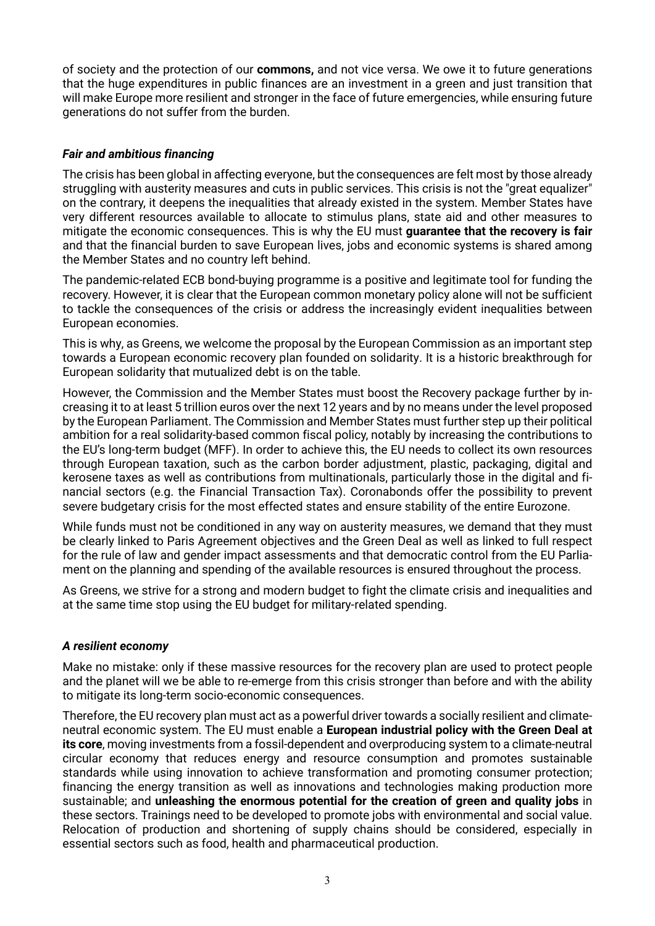of society and the protection of our **commons,** and not vice versa. We owe it to future generations that the huge expenditures in public finances are an investment in a green and just transition that will make Europe more resilient and stronger in the face of future emergencies, while ensuring future generations do not suffer from the burden.

# *Fair and ambitious financing*

The crisis has been global in affecting everyone, but the consequences are felt most by those already struggling with austerity measures and cuts in public services. This crisis is not the "great equalizer" on the contrary, it deepens the inequalities that already existed in the system. Member States have very different resources available to allocate to stimulus plans, state aid and other measures to mitigate the economic consequences. This is why the EU must **guarantee that the recovery is fair** and that the financial burden to save European lives, jobs and economic systems is shared among the Member States and no country left behind.

The pandemic-related ECB bond-buying programme is a positive and legitimate tool for funding the recovery. However, it is clear that the European common monetary policy alone will not be sufficient to tackle the consequences of the crisis or address the increasingly evident inequalities between European economies.

This is why, as Greens, we welcome the proposal by the European Commission as an important step towards a European economic recovery plan founded on solidarity. It is a historic breakthrough for European solidarity that mutualized debt is on the table.

However, the Commission and the Member States must boost the Recovery package further by increasing it to at least 5 trillion euros over the next 12 years and by no means under the level proposed by the European Parliament. The Commission and Member States must further step up their political ambition for a real solidarity-based common fiscal policy, notably by increasing the contributions to the EU's long-term budget (MFF). In order to achieve this, the EU needs to collect its own resources through European taxation, such as the carbon border adjustment, plastic, packaging, digital and kerosene taxes as well as contributions from multinationals, particularly those in the digital and financial sectors (e.g. the Financial Transaction Tax). Coronabonds offer the possibility to prevent severe budgetary crisis for the most effected states and ensure stability of the entire Eurozone.

While funds must not be conditioned in any way on austerity measures, we demand that they must be clearly linked to Paris Agreement objectives and the Green Deal as well as linked to full respect for the rule of law and gender impact assessments and that democratic control from the EU Parliament on the planning and spending of the available resources is ensured throughout the process.

As Greens, we strive for a strong and modern budget to fight the climate crisis and inequalities and at the same time stop using the EU budget for military-related spending.

## *A resilient economy*

Make no mistake: only if these massive resources for the recovery plan are used to protect people and the planet will we be able to re-emerge from this crisis stronger than before and with the ability to mitigate its long-term socio-economic consequences.

Therefore, the EU recovery plan must act as a powerful driver towards a socially resilient and climateneutral economic system. The EU must enable a **European industrial policy with the Green Deal at its core**, moving investments from a fossil-dependent and overproducing system to a climate-neutral circular economy that reduces energy and resource consumption and promotes sustainable standards while using innovation to achieve transformation and promoting consumer protection; financing the energy transition as well as innovations and technologies making production more sustainable; and **unleashing the enormous potential for the creation of green and quality jobs** in these sectors. Trainings need to be developed to promote jobs with environmental and social value. Relocation of production and shortening of supply chains should be considered, especially in essential sectors such as food, health and pharmaceutical production.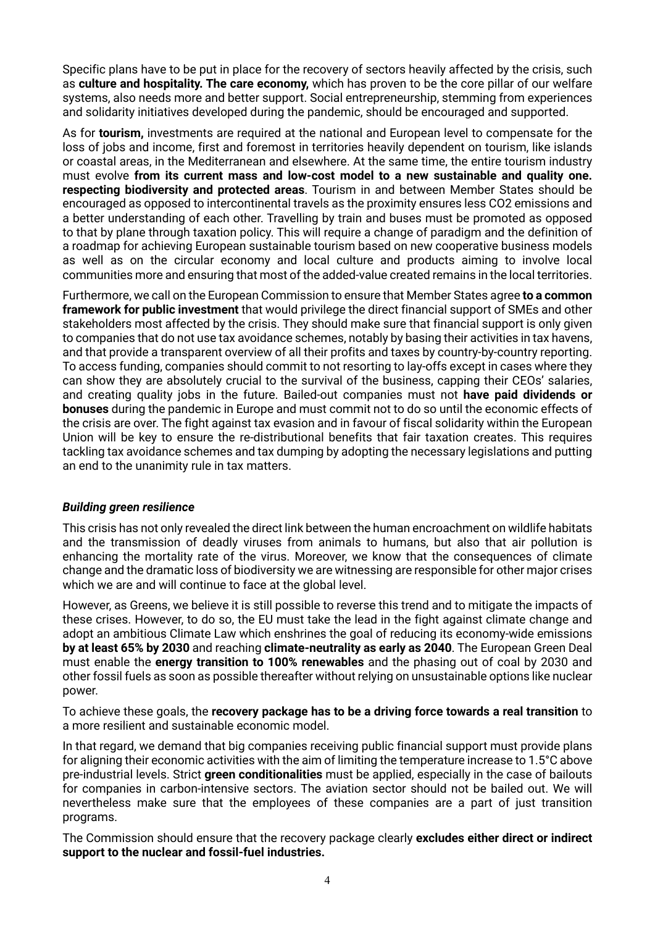Specific plans have to be put in place for the recovery of sectors heavily affected by the crisis, such as **culture and hospitality. The care economy,** which has proven to be the core pillar of our welfare systems, also needs more and better support. Social entrepreneurship, stemming from experiences and solidarity initiatives developed during the pandemic, should be encouraged and supported.

As for **tourism,** investments are required at the national and European level to compensate for the loss of jobs and income, first and foremost in territories heavily dependent on tourism, like islands or coastal areas, in the Mediterranean and elsewhere. At the same time, the entire tourism industry must evolve **from its current mass and low-cost model to a new sustainable and quality one. respecting biodiversity and protected areas**. Tourism in and between Member States should be encouraged as opposed to intercontinental travels as the proximity ensures less CO2 emissions and a better understanding of each other. Travelling by train and buses must be promoted as opposed to that by plane through taxation policy. This will require a change of paradigm and the definition of a roadmap for achieving European sustainable tourism based on new cooperative business models as well as on the circular economy and local culture and products aiming to involve local communities more and ensuring that most of the added-value created remains in the local territories.

Furthermore, we call on the European Commission to ensure that Member States agree **to a common framework for public investment** that would privilege the direct financial support of SMEs and other stakeholders most affected by the crisis. They should make sure that financial support is only given to companies that do not use tax avoidance schemes, notably by basing their activities in tax havens, and that provide a transparent overview of all their profits and taxes by country-by-country reporting. To access funding, companies should commit to not resorting to lay-offs except in cases where they can show they are absolutely crucial to the survival of the business, capping their CEOs' salaries, and creating quality jobs in the future. Bailed-out companies must not **have paid dividends or bonuses** during the pandemic in Europe and must commit not to do so until the economic effects of the crisis are over. The fight against tax evasion and in favour of fiscal solidarity within the European Union will be key to ensure the re-distributional benefits that fair taxation creates. This requires tackling tax avoidance schemes and tax dumping by adopting the necessary legislations and putting an end to the unanimity rule in tax matters.

## *Building green resilience*

This crisis has not only revealed the direct link between the human encroachment on wildlife habitats and the transmission of deadly viruses from animals to humans, but also that air pollution is enhancing the mortality rate of the virus. Moreover, we know that the consequences of climate change and the dramatic loss of biodiversity we are witnessing are responsible for other major crises which we are and will continue to face at the global level.

However, as Greens, we believe it is still possible to reverse this trend and to mitigate the impacts of these crises. However, to do so, the EU must take the lead in the fight against climate change and adopt an ambitious Climate Law which enshrines the goal of reducing its economy-wide emissions **by at least 65% by 2030** and reaching **climate-neutrality as early as 2040**. The European Green Deal must enable the **energy transition to 100% renewables** and the phasing out of coal by 2030 and other fossil fuels as soon as possible thereafter without relying on unsustainable options like nuclear power.

To achieve these goals, the **recovery package has to be a driving force towards a real transition** to a more resilient and sustainable economic model.

In that regard, we demand that big companies receiving public financial support must provide plans for aligning their economic activities with the aim of limiting the temperature increase to 1.5°C above pre-industrial levels. Strict **green conditionalities** must be applied, especially in the case of bailouts for companies in carbon-intensive sectors. The aviation sector should not be bailed out. We will nevertheless make sure that the employees of these companies are a part of just transition programs.

The Commission should ensure that the recovery package clearly **excludes either direct or indirect support to the nuclear and fossil-fuel industries.**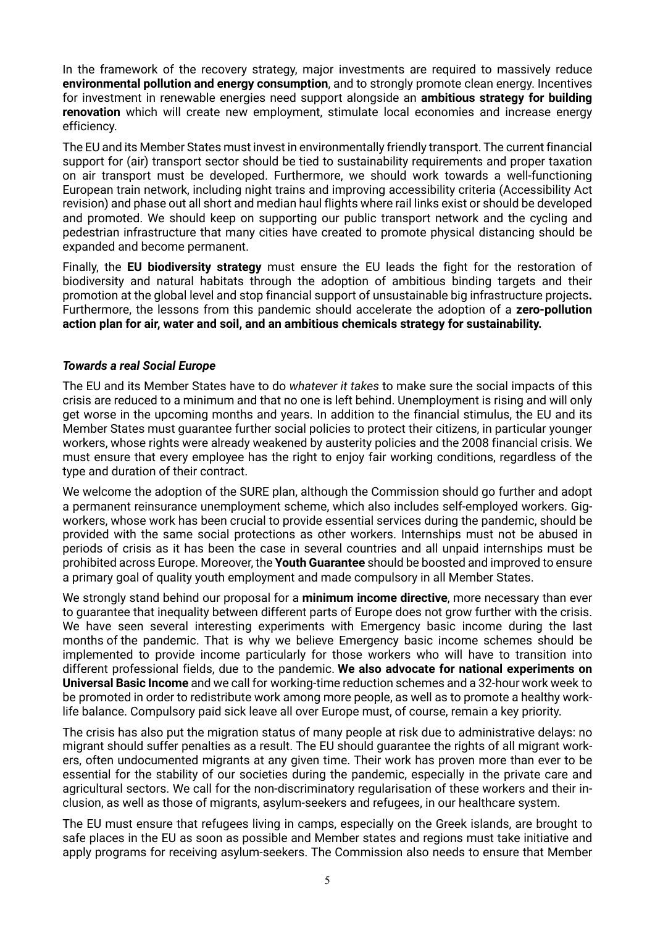In the framework of the recovery strategy, major investments are required to massively reduce **environmental pollution and energy consumption**, and to strongly promote clean energy. Incentives for investment in renewable energies need support alongside an **ambitious strategy for building renovation** which will create new employment, stimulate local economies and increase energy efficiency.

The EU and its Member States must invest in environmentally friendly transport. The current financial support for (air) transport sector should be tied to sustainability requirements and proper taxation on air transport must be developed. Furthermore, we should work towards a well-functioning European train network, including night trains and improving accessibility criteria (Accessibility Act revision) and phase out all short and median haul flights where rail links exist or should be developed and promoted. We should keep on supporting our public transport network and the cycling and pedestrian infrastructure that many cities have created to promote physical distancing should be expanded and become permanent.

Finally, the **EU biodiversity strategy** must ensure the EU leads the fight for the restoration of biodiversity and natural habitats through the adoption of ambitious binding targets and their promotion at the global level and stop financial support of unsustainable big infrastructure projects**.** Furthermore, the lessons from this pandemic should accelerate the adoption of a **zero-pollution action plan for air, water and soil, and an ambitious chemicals strategy for sustainability.**

# *Towards a real Social Europe*

The EU and its Member States have to do *whatever it takes* to make sure the social impacts of this crisis are reduced to a minimum and that no one is left behind. Unemployment is rising and will only get worse in the upcoming months and years. In addition to the financial stimulus, the EU and its Member States must guarantee further social policies to protect their citizens, in particular younger workers, whose rights were already weakened by austerity policies and the 2008 financial crisis. We must ensure that every employee has the right to enjoy fair working conditions, regardless of the type and duration of their contract.

We welcome the adoption of the SURE plan, although the Commission should go further and adopt a permanent reinsurance unemployment scheme, which also includes self-employed workers. Gigworkers, whose work has been crucial to provide essential services during the pandemic, should be provided with the same social protections as other workers. Internships must not be abused in periods of crisis as it has been the case in several countries and all unpaid internships must be prohibited across Europe. Moreover, the **Youth Guarantee** should be boosted and improved to ensure a primary goal of quality youth employment and made compulsory in all Member States.

We strongly stand behind our proposal for a **minimum income directive**, more necessary than ever to guarantee that inequality between different parts of Europe does not grow further with the crisis. We have seen several interesting experiments with Emergency basic income during the last months of the pandemic. That is why we believe Emergency basic income schemes should be implemented to provide income particularly for those workers who will have to transition into different professional fields, due to the pandemic. **We also advocate for national experiments on Universal Basic Income** and we call for working-time reduction schemes and a 32-hour work week to be promoted in order to redistribute work among more people, as well as to promote a healthy worklife balance. Compulsory paid sick leave all over Europe must, of course, remain a key priority.

The crisis has also put the migration status of many people at risk due to administrative delays: no migrant should suffer penalties as a result. The EU should guarantee the rights of all migrant workers, often undocumented migrants at any given time. Their work has proven more than ever to be essential for the stability of our societies during the pandemic, especially in the private care and agricultural sectors. We call for the non-discriminatory regularisation of these workers and their inclusion, as well as those of migrants, asylum-seekers and refugees, in our healthcare system.

The EU must ensure that refugees living in camps, especially on the Greek islands, are brought to safe places in the EU as soon as possible and Member states and regions must take initiative and apply programs for receiving asylum-seekers. The Commission also needs to ensure that Member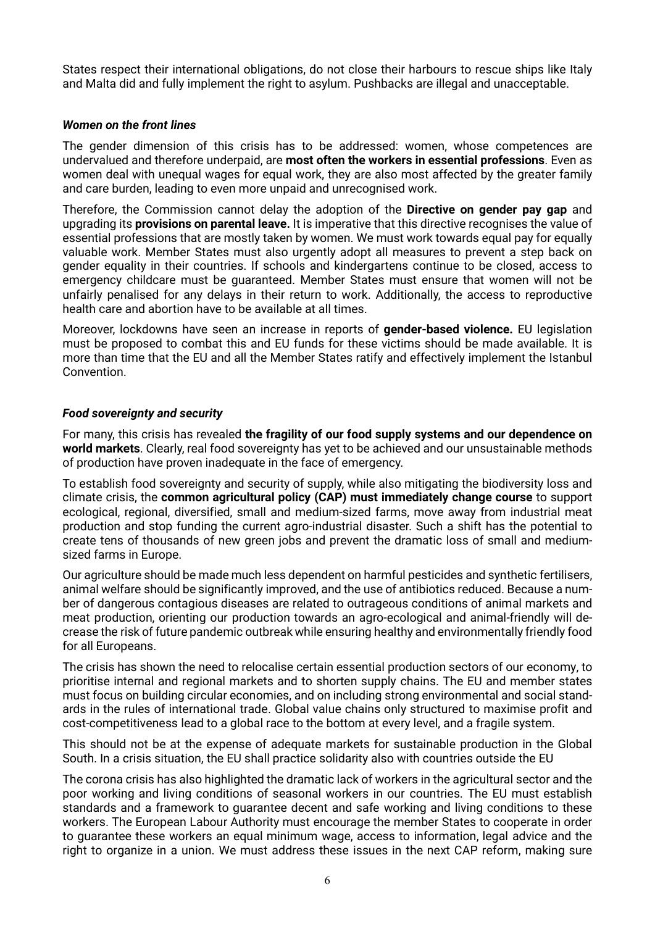States respect their international obligations, do not close their harbours to rescue ships like Italy and Malta did and fully implement the right to asylum. Pushbacks are illegal and unacceptable.

#### *Women on the front lines*

The gender dimension of this crisis has to be addressed: women, whose competences are undervalued and therefore underpaid, are **most often the workers in essential professions**. Even as women deal with unequal wages for equal work, they are also most affected by the greater family and care burden, leading to even more unpaid and unrecognised work.

Therefore, the Commission cannot delay the adoption of the **Directive on gender pay gap** and upgrading its **provisions on parental leave.** It is imperative that this directive recognises the value of essential professions that are mostly taken by women. We must work towards equal pay for equally valuable work. Member States must also urgently adopt all measures to prevent a step back on gender equality in their countries. If schools and kindergartens continue to be closed, access to emergency childcare must be guaranteed. Member States must ensure that women will not be unfairly penalised for any delays in their return to work. Additionally, the access to reproductive health care and abortion have to be available at all times.

Moreover, lockdowns have seen an increase in reports of **gender-based violence.** EU legislation must be proposed to combat this and EU funds for these victims should be made available. It is more than time that the EU and all the Member States ratify and effectively implement the Istanbul Convention.

## *Food sovereignty and security*

For many, this crisis has revealed **the fragility of our food supply systems and our dependence on world markets**. Clearly, real food sovereignty has yet to be achieved and our unsustainable methods of production have proven inadequate in the face of emergency.

To establish food sovereignty and security of supply, while also mitigating the biodiversity loss and climate crisis, the **common agricultural policy (CAP) must immediately change course** to support ecological, regional, diversified, small and medium-sized farms, move away from industrial meat production and stop funding the current agro-industrial disaster. Such a shift has the potential to create tens of thousands of new green jobs and prevent the dramatic loss of small and mediumsized farms in Europe.

Our agriculture should be made much less dependent on harmful pesticides and synthetic fertilisers, animal welfare should be significantly improved, and the use of antibiotics reduced. Because a number of dangerous contagious diseases are related to outrageous conditions of animal markets and meat production, orienting our production towards an agro-ecological and animal-friendly will decrease the risk of future pandemic outbreak while ensuring healthy and environmentally friendly food for all Europeans.

The crisis has shown the need to relocalise certain essential production sectors of our economy, to prioritise internal and regional markets and to shorten supply chains. The EU and member states must focus on building circular economies, and on including strong environmental and social standards in the rules of international trade. Global value chains only structured to maximise profit and cost-competitiveness lead to a global race to the bottom at every level, and a fragile system.

This should not be at the expense of adequate markets for sustainable production in the Global South. In a crisis situation, the EU shall practice solidarity also with countries outside the EU

The corona crisis has also highlighted the dramatic lack of workers in the agricultural sector and the poor working and living conditions of seasonal workers in our countries. The EU must establish standards and a framework to guarantee decent and safe working and living conditions to these workers. The European Labour Authority must encourage the member States to cooperate in order to guarantee these workers an equal minimum wage, access to information, legal advice and the right to organize in a union. We must address these issues in the next CAP reform, making sure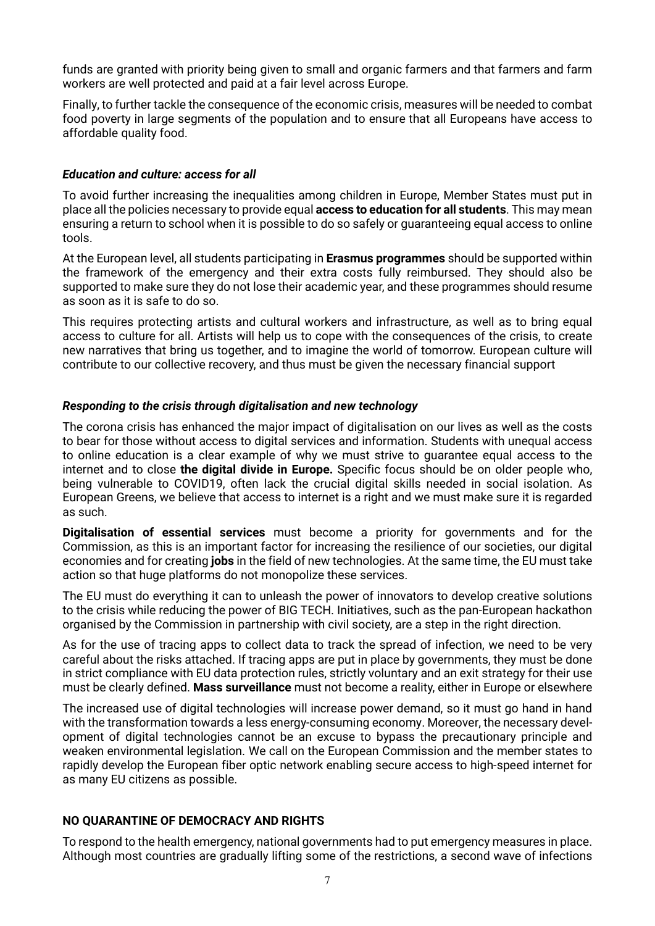funds are granted with priority being given to small and organic farmers and that farmers and farm workers are well protected and paid at a fair level across Europe.

Finally, to further tackle the consequence of the economic crisis, measures will be needed to combat food poverty in large segments of the population and to ensure that all Europeans have access to affordable quality food.

## *Education and culture: access for all*

To avoid further increasing the inequalities among children in Europe, Member States must put in place all the policies necessary to provide equal **access to education for all students**. This may mean ensuring a return to school when it is possible to do so safely or guaranteeing equal access to online tools.

At the European level, all students participating in **Erasmus programmes** should be supported within the framework of the emergency and their extra costs fully reimbursed. They should also be supported to make sure they do not lose their academic year, and these programmes should resume as soon as it is safe to do so.

This requires protecting artists and cultural workers and infrastructure, as well as to bring equal access to culture for all. Artists will help us to cope with the consequences of the crisis, to create new narratives that bring us together, and to imagine the world of tomorrow. European culture will contribute to our collective recovery, and thus must be given the necessary financial support

# *Responding to the crisis through digitalisation and new technology*

The corona crisis has enhanced the major impact of digitalisation on our lives as well as the costs to bear for those without access to digital services and information. Students with unequal access to online education is a clear example of why we must strive to guarantee equal access to the internet and to close **the digital divide in Europe.** Specific focus should be on older people who, being vulnerable to COVID19, often lack the crucial digital skills needed in social isolation. As European Greens, we believe that access to internet is a right and we must make sure it is regarded as such.

**Digitalisation of essential services** must become a priority for governments and for the Commission, as this is an important factor for increasing the resilience of our societies, our digital economies and for creating **jobs** in the field of new technologies. At the same time, the EU must take action so that huge platforms do not monopolize these services.

The EU must do everything it can to unleash the power of innovators to develop creative solutions to the crisis while reducing the power of BIG TECH. Initiatives, such as the pan-European hackathon organised by the Commission in partnership with civil society, are a step in the right direction.

As for the use of tracing apps to collect data to track the spread of infection, we need to be very careful about the risks attached. If tracing apps are put in place by governments, they must be done in strict compliance with EU data protection rules, strictly voluntary and an exit strategy for their use must be clearly defined. **Mass surveillance** must not become a reality, either in Europe or elsewhere

The increased use of digital technologies will increase power demand, so it must go hand in hand with the transformation towards a less energy-consuming economy. Moreover, the necessary development of digital technologies cannot be an excuse to bypass the precautionary principle and weaken environmental legislation. We call on the European Commission and the member states to rapidly develop the European fiber optic network enabling secure access to high-speed internet for as many EU citizens as possible.

# **NO QUARANTINE OF DEMOCRACY AND RIGHTS**

To respond to the health emergency, national governments had to put emergency measures in place. Although most countries are gradually lifting some of the restrictions, a second wave of infections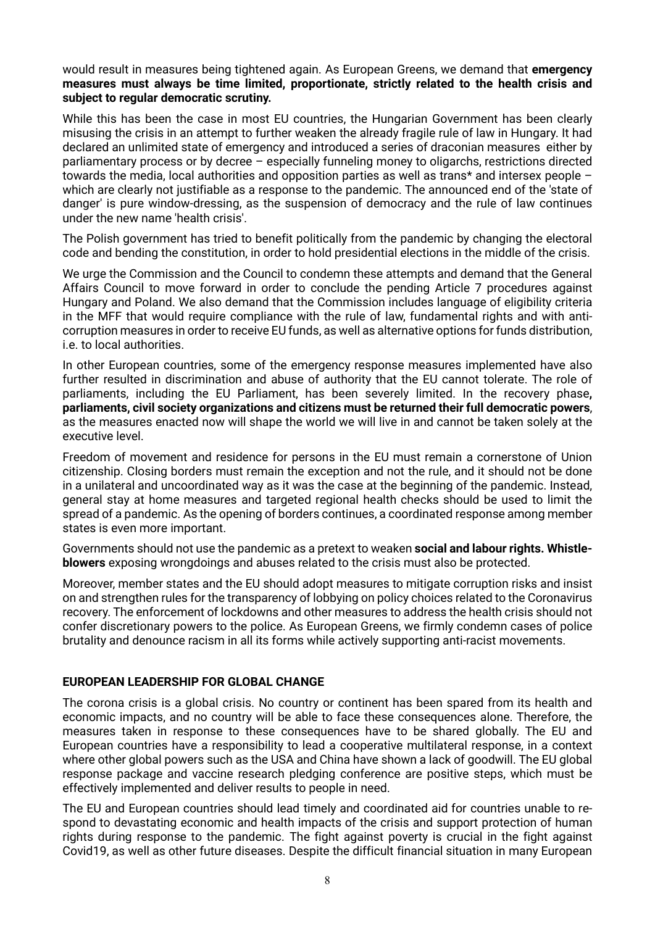would result in measures being tightened again. As European Greens, we demand that **emergency measures must always be time limited, proportionate, strictly related to the health crisis and subject to regular democratic scrutiny.**

While this has been the case in most EU countries, the Hungarian Government has been clearly misusing the crisis in an attempt to further weaken the already fragile rule of law in Hungary. It had declared an unlimited state of emergency and introduced a series of draconian measures either by parliamentary process or by decree – especially funneling money to oligarchs, restrictions directed towards the media, local authorities and opposition parties as well as trans\* and intersex people – which are clearly not justifiable as a response to the pandemic. The announced end of the 'state of danger' is pure window-dressing, as the suspension of democracy and the rule of law continues under the new name 'health crisis'.

The Polish government has tried to benefit politically from the pandemic by changing the electoral code and bending the constitution, in order to hold presidential elections in the middle of the crisis.

We urge the Commission and the Council to condemn these attempts and demand that the General Affairs Council to move forward in order to conclude the pending Article 7 procedures against Hungary and Poland. We also demand that the Commission includes language of eligibility criteria in the MFF that would require compliance with the rule of law, fundamental rights and with anticorruption measures in order to receive EU funds, as well as alternative options for funds distribution, i.e. to local authorities.

In other European countries, some of the emergency response measures implemented have also further resulted in discrimination and abuse of authority that the EU cannot tolerate. The role of parliaments, including the EU Parliament, has been severely limited. In the recovery phase**, parliaments, civil society organizations and citizens must be returned their full democratic powers**, as the measures enacted now will shape the world we will live in and cannot be taken solely at the executive level.

Freedom of movement and residence for persons in the EU must remain a cornerstone of Union citizenship. Closing borders must remain the exception and not the rule, and it should not be done in a unilateral and uncoordinated way as it was the case at the beginning of the pandemic. Instead, general stay at home measures and targeted regional health checks should be used to limit the spread of a pandemic. As the opening of borders continues, a coordinated response among member states is even more important.

Governments should not use the pandemic as a pretext to weaken **social and labour rights. Whistleblowers** exposing wrongdoings and abuses related to the crisis must also be protected.

Moreover, member states and the EU should adopt measures to mitigate corruption risks and insist on and strengthen rules for the transparency of lobbying on policy choices related to the Coronavirus recovery. The enforcement of lockdowns and other measures to address the health crisis should not confer discretionary powers to the police. As European Greens, we firmly condemn cases of police brutality and denounce racism in all its forms while actively supporting anti-racist movements.

# **EUROPEAN LEADERSHIP FOR GLOBAL CHANGE**

The corona crisis is a global crisis. No country or continent has been spared from its health and economic impacts, and no country will be able to face these consequences alone. Therefore, the measures taken in response to these consequences have to be shared globally. The EU and European countries have a responsibility to lead a cooperative multilateral response, in a context where other global powers such as the USA and China have shown a lack of goodwill. The EU global response package and vaccine research pledging conference are positive steps, which must be effectively implemented and deliver results to people in need.

The EU and European countries should lead timely and coordinated aid for countries unable to respond to devastating economic and health impacts of the crisis and support protection of human rights during response to the pandemic. The fight against poverty is crucial in the fight against Covid19, as well as other future diseases. Despite the difficult financial situation in many European